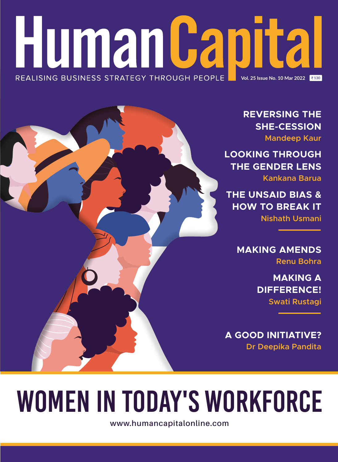### **Human Capital** REALISING BUSINESS STRATEGY THROUGH PEOPLE **Vol. 25 Issue No. 10 Mar 2022**

**REVERSING THE SHE-CESSION Mandeep Kaur**

**LOOKING THROUGH THE GENDER LENS**

**Kankana Barua**

**THE UNSAID BIAS & HOW TO BREAK IT Nishath Usmani**

> **MAKING AMENDS Renu Bohra**

> > **MAKING A DIFFERENCE! Swati Rustagi**

**A GOOD INITIATIVE? Dr Deepika Pandita**

# WOMEN IN TODAY'S WORKFORCE

**www.humancapitalonline.com**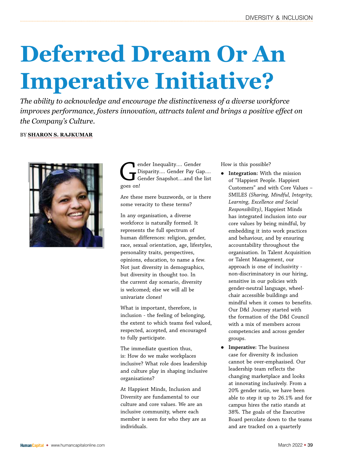### **Deferred Dream Or An Imperative Initiative?**

*The ability to acknowledge and encourage the distinctiveness of a diverse workforce improves performance, fosters innovation, attracts talent and brings a positive effect on the Company's Culture.*

#### BY **SHARON S. RAJKUMAR**



ender Inequality.... Gender<br>Disparity.... Gender Pay Ga<br>Gender Snapshot....and the<br>goes on! Disparity…. Gender Pay Gap…. Gender Snapshot….and the list goes on!

Are these mere buzzwords, or is there some veracity to these terms?

In any organisation, a diverse workforce is naturally formed. It represents the full spectrum of human differences: religion, gender, race, sexual orientation, age, lifestyles, personality traits, perspectives, opinions, education, to name a few. Not just diversity in demographics, but diversity in thought too. In the current day scenario, diversity is welcomed; else we will all be univariate clones!

What is important, therefore, is inclusion - the feeling of belonging, the extent to which teams feel valued, respected, accepted, and encouraged to fully participate.

The immediate question thus, is: How do we make workplaces inclusive? What role does leadership and culture play in shaping inclusive organisations?

At Happiest Minds, Inclusion and Diversity are fundamental to our culture and core values. We are an inclusive community, where each member is seen for who they are as individuals.

How is this possible?

- Integration: With the mission of "Happiest People. Happiest Customers" and with Core Values – SMILES *(Sharing, Mindful, Integrity, Learning, Excellence and Social Responsibility)*, Happiest Minds has integrated inclusion into our core values by being mindful, by embedding it into work practices and behaviour, and by ensuring accountability throughout the organisation. In Talent Acquisition or Talent Management, our approach is one of inclusivity non-discriminatory in our hiring, sensitive in our policies with gender-neutral language, wheelchair accessible buildings and mindful when it comes to benefits. Our D&I Journey started with the formation of the D&I Council with a mix of members across competencies and across gender groups.
- **•** Imperative: The business case for diversity & inclusion cannot be over-emphasised. Our leadership team reflects the changing marketplace and looks at innovating inclusively. From a 20% gender ratio, we have been able to step it up to 26.1% and for campus hires the ratio stands at 38%. The goals of the Executive Board percolate down to the teams and are tracked on a quarterly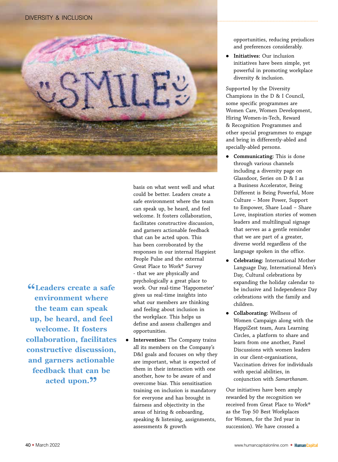

could be better. Leaders create a safe environment where the team can speak up, be heard, and feel welcome. It fosters collaboration, facilitates constructive discussion, and garners actionable feedback that can be acted upon. This has been corroborated by the responses in our internal Happiest People Pulse and the external Great Place to Work® Survey - that we are physically and psychologically a great place to work. Our real-time 'Happometer' gives us real-time insights into what our members are thinking and feeling about inclusion in the workplace. This helps us define and assess challenges and opportunities.

basis on what went well and what

**Intervention:** The Company trains all its members on the Company's D&I goals and focuses on why they are important, what is expected of them in their interaction with one another, how to be aware of and overcome bias. This sensitisation training on inclusion is mandatory for everyone and has brought in fairness and objectivity in the areas of hiring & onboarding, speaking & listening, assignments, assessments & growth

opportunities, reducing prejudices and preferences considerably.

**Initiatives:** Our inclusion initiatives have been simple, yet powerful in promoting workplace diversity & inclusion.

Supported by the Diversity Champions in the D & I Council, some specific programmes are Women Care, Women Development, Hiring Women-in-Tech, Reward & Recognition Programmes and other special programmes to engage and bring in differently-abled and specially-abled persons.

- **•** Communicating: This is done through various channels including a diversity page on Glassdoor, Series on D & I as a Business Accelerator, Being Different is Being Powerful, More Culture – More Power, Support to Empower, Share Load – Share Love, inspiration stories of women leaders and multilingual signage that serves as a gentle reminder that we are part of a greater, diverse world regardless of the language spoken in the office.
- z **Celebrating:** International Mother Language Day, International Men's Day, Cultural celebrations by expanding the holiday calendar to be inclusive and Independence Day celebrations with the family and children.
- z **Collaborating:** Wellness of Women Campaign along with the HappiZest team, Aura Learning Circles, a platform to share and learn from one another, Panel Discussions with women leaders in our client-organisations, Vaccination drives for individuals with special abilities, in conjunction with *Samarthanam*.

Our initiatives have been amply rewarded by the recognition we received from Great Place to Work® as the Top 50 Best Workplaces for Women, for the 3rd year in succession). We have crossed a

**"Leaders create a safe environment where the team can speak up, be heard, and feel welcome. It fosters collaboration, facilitates constructive discussion, and garners actionable feedback that can be**  acted upon.<sup>99</sup>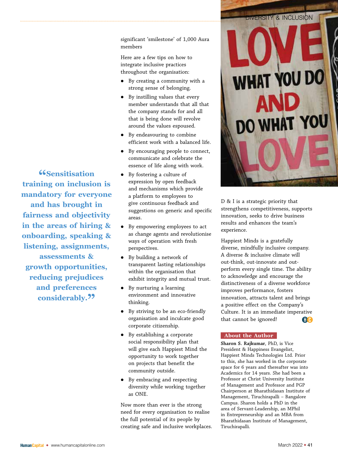significant 'smilestone' of 1,000 Aura members

Here are a few tips on how to integrate inclusive practices throughout the organisation:

- By creating a community with a strong sense of belonging.
- By instilling values that every member understands that all that the company stands for and all that is being done will revolve around the values espoused.
- By endeavouring to combine efficient work with a balanced life.
- By encouraging people to connect, communicate and celebrate the essence of life along with work.
- By fostering a culture of expression by open feedback and mechanisms which provide a platform to employees to give continuous feedback and suggestions on generic and specific areas.
- By empowering employees to act as change agents and revolutionise ways of operation with fresh perspectives.
- $\bullet$  By building a network of transparent lasting relationships within the organisation that exhibit integrity and mutual trust.
- By nurturing a learning environment and innovative thinking.
- By striving to be an eco-friendly organisation and inculcate good corporate citizenship.
- $\bullet$  By establishing a corporate social responsibility plan that will give each Happiest Mind the opportunity to work together on projects that benefit the community outside.
- By embracing and respecting diversity while working together as ONE.

Now more than ever is the strong need for every organisation to realise the full potential of its people by creating safe and inclusive workplaces.



D & I is a strategic priority that strengthens competitiveness, supports innovation, seeks to drive business results and enhances the team's experience.

Happiest Minds is a gratefully diverse, mindfully inclusive company. A diverse & inclusive climate will out-think, out-innovate and outperform every single time. The ability to acknowledge and encourage the distinctiveness of a diverse workforce improves performance, fosters innovation, attracts talent and brings a positive effect on the Company's Culture. It is an immediate imperative that cannot be ignored! GO

#### **About the Author**

**Sharon S. Rajkumar**, PhD, is Vice President & Happiness Evangelist, Happiest Minds Technologies Ltd. Prior to this, she has worked in the corporate space for 6 years and thereafter was into Academics for 14 years. She had been a Professor at Christ University Institute of Management and Professor and PGP Chairperson at Bharathidasan Institute of Management, Tiruchirapalli – Bangalore Campus. Sharon holds a PhD in the area of Servant-Leadership, an MPhil in Entrepreneurship and an MBA from Bharathidasan Institute of Management, Tiruchirapalli.

**"Sensitisation training on inclusion is mandatory for everyone and has brought in fairness and objectivity in the areas of hiring & onboarding, speaking & listening, assignments, assessments & growth opportunities, reducing prejudices and preferences**  considerably.<sup>99</sup>